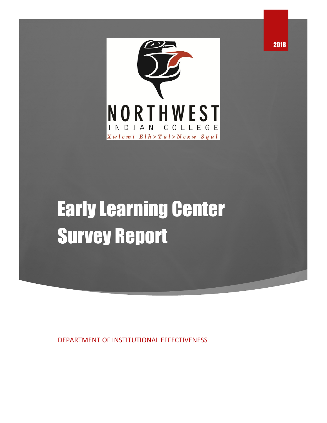

# Early Learning Center Survey Report

DEPARTMENT OF INSTITUTIONAL EFFECTIVENESS

2018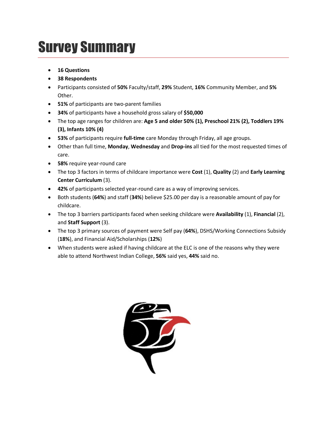# Survey Summary

- **16 Questions**
- **38 Respondents**
- Participants consisted of **50%** Faculty/staff, **29%** Student, **16%** Community Member, and **5%** Other.
- **51%** of participants are two-parent families
- **34%** of participants have a household gross salary of **\$50,000**
- The top age ranges for children are: **Age 5 and older 50% (1), Preschool 21% (2), Toddlers 19% (3), Infants 10% (4)**
- **53%** of participants require **full-time** care Monday through Friday, all age groups.
- Other than full time, **Monday**, **Wednesday** and **Drop-ins** all tied for the most requested times of care.
- **58%** require year-round care
- The top 3 factors in terms of childcare importance were **Cost** (1), **Quality** (2) and **Early Learning Center Curriculum** (3).
- **42%** of participants selected year-round care as a way of improving services.
- Both students (**64%**) and staff (**34%**) believe \$25.00 per day is a reasonable amount of pay for childcare.
- The top 3 barriers participants faced when seeking childcare were **Availability** (1), **Financial** (2), and **Staff Support** (3).
- The top 3 primary sources of payment were Self pay (**64%**), DSHS/Working Connections Subsidy (**18%**), and Financial Aid/Scholarships (**12%**)
- When students were asked if having childcare at the ELC is one of the reasons why they were able to attend Northwest Indian College, **56%** said yes, **44%** said no.

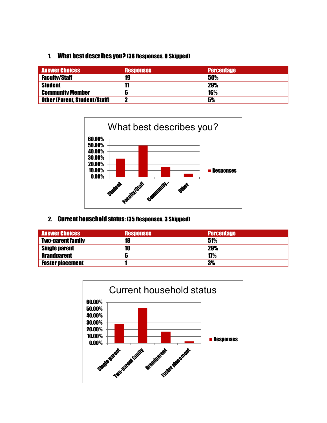#### 1. What best describes you? (38 Responses, 0 Skipped)

| <b>Answer Choices</b>                | <b>Responses</b> | <b>Percentage</b> |
|--------------------------------------|------------------|-------------------|
| <b>Faculty/Staff</b>                 | 19               | 50%               |
| <b>Student</b>                       | 11               | <b>29%</b>        |
| <b>Community Member</b>              |                  | <b>16%</b>        |
| <b>Other (Parent, Student/Staff)</b> |                  | 5%                |



### 2. Current household status: (35 Responses, 3 Skipped)

| <b>Answer Choices</b>    | <b>Responses</b> | <b>Percentage</b> |
|--------------------------|------------------|-------------------|
| <b>Two-parent family</b> | 18               | 51%               |
| <b>Single parent</b>     | 10               | 29%               |
| <b>Grandparent</b>       |                  | 17%               |
| <b>Foster placement</b>  |                  | 3%                |

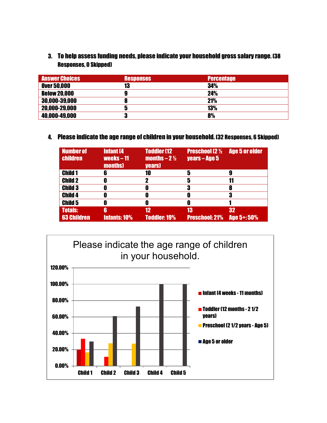3. To help assess funding needs, please indicate your household gross salary range. (38 Responses, 0 Skipped)

| <b>Answer Choices</b> | <b>Responses</b> | <b>Percentage</b> |
|-----------------------|------------------|-------------------|
| <b>Over 50,000</b>    | 13               | 34%               |
| <b>Below 20,000</b>   | 9                | 24%               |
| 30,000-39,000         | 8                | <b>21%</b>        |
| 20,000-29,000         | 5                | <b>13%</b>        |
| 40,000-49,000         | 3                | 8%                |

#### 4. Please indicate the age range of children in your household. (32 Responses, 6 Skipped)

| <b>Number of</b><br>children | <b>Infant (4)</b><br>weeks $-11$<br><b>months</b> | <b>Toddler [12]</b><br>$\overline{\text{months}} - 2\frac{1}{2}$<br><b>years</b> | <b>Preschool (2 1/2)</b><br>years - Age 5 | <b>Age 5 or older</b> |
|------------------------------|---------------------------------------------------|----------------------------------------------------------------------------------|-------------------------------------------|-----------------------|
| <b>Child 1</b>               | 6                                                 | 10                                                                               | 5                                         |                       |
| <b>Child 2</b>               | O                                                 |                                                                                  | 5                                         |                       |
| <b>Child 3</b>               | O                                                 |                                                                                  | 3                                         |                       |
| <b>Child 4</b>               | O                                                 |                                                                                  | O                                         |                       |
| <b>Child 5</b>               | 0                                                 | U                                                                                | O                                         |                       |
| <b>Totals:</b>               | 6                                                 | 12                                                                               | 13                                        | 32                    |
| <b>63 Children</b>           | <b>Infants: 10%</b>                               | <b>Toddler: 19%</b>                                                              | <b>Preschool: 21%</b>                     | Age 5+: 50%           |

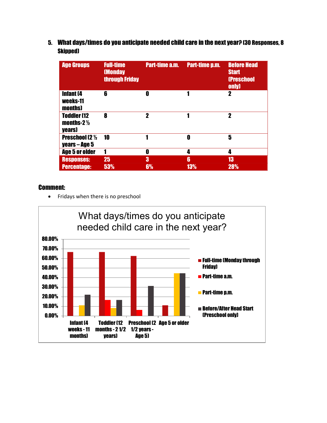5. What days/times do you anticipate needed child care in the next year? (30 Responses, 8 Skipped)

| <b>Age Groups</b>                                      | <b>Full-time</b><br><b>(Monday</b><br>through Friday | <b>Part-time a.m.</b> | <b>Part-time p.m.</b> | <b>Before Head</b><br><b>Start</b><br><b>(Preschool</b><br>only) |
|--------------------------------------------------------|------------------------------------------------------|-----------------------|-----------------------|------------------------------------------------------------------|
| <b>Infant (4</b><br>weeks-11<br>months)                | 6                                                    | 0                     |                       | 2                                                                |
| <b>Toddler (12</b><br>months-2 $\frac{1}{2}$<br>years) | 8                                                    | $\boldsymbol{\eta}$   |                       | 2                                                                |
| <b>Preschool (2 1/2)</b><br>years – Age 5              | 10                                                   |                       | O                     | 5                                                                |
| <b>Age 5 or older</b>                                  | 1                                                    | 0                     | 4                     | 4                                                                |
| <b>Responses:</b>                                      | 25                                                   | 3                     | 6                     | 13                                                               |
| <b>Percentage:</b>                                     | 53%                                                  | 6%                    | 13%                   | 28%                                                              |

#### Comment:

• Fridays when there is no preschool

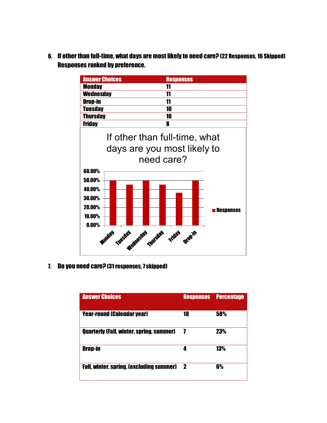6. If other than full-time, what days are most likely to need care? (22 Responses, 16 Skipped) Responses ranked by preference.



7. Do you need care? (31 responses, 7 skipped)

**0.00% - The resident and resident and resident and resident and resident and resident and residents** 

| <b>Answer Choices</b>                           | <b>Responses</b> | <b>Percentage</b> |
|-------------------------------------------------|------------------|-------------------|
| <b>Year-round (Calendar year)</b>               | 18               | 58%               |
| <b>Quarterly (Fall, winter, spring, summer)</b> |                  | 23%               |
| Drop-in                                         | Д                | 13%               |
| <b>Fall. winter, spring, lexcluding summer)</b> | 2                | 6%                |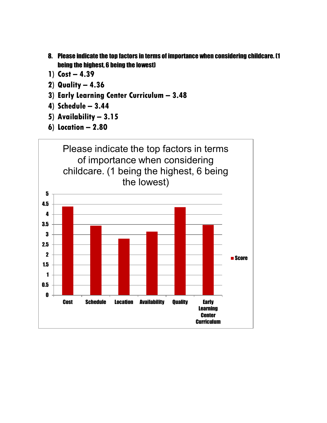- 8. Please indicate the top factors in terms of importance when considering childcare. (1 being the highest, 6 being the lowest)
- **1) Cost – 4.39**
- **2) Quality – 4.36**
- **3) Early Learning Center Curriculum – 3.48**
- **4) Schedule – 3.44**
- **5) Availability – 3.15**
- **6) Location – 2.80**

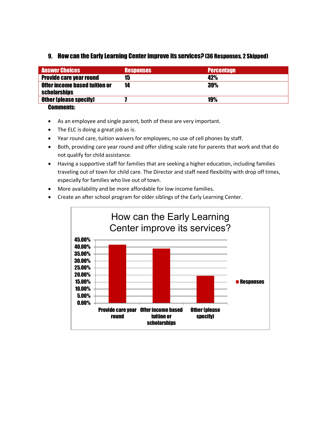#### 9. How can the Early Learning Center improve its services? (36 Responses, 2 Skipped)

| <b>Answer Choices</b>                | <b>Responses</b> | <b>Percentage</b> |
|--------------------------------------|------------------|-------------------|
| <b>Provide care year round</b>       | 15               | 42%               |
| <b>Offer income based tuition or</b> | 14               | 39%               |
| <b>scholarships</b>                  |                  |                   |
| <b>Other (please specify)</b>        |                  | <b>19%</b>        |
| <b>Benessede</b>                     |                  |                   |

- Comments:
- As an employee and single parent, both of these are very important.
- The ELC is doing a great job as is.
- Year round care, tuition waivers for employees, no use of cell phones by staff.
- Both, providing care year round and offer sliding scale rate for parents that work and that do not qualify for child assistance.
- Having a supportive staff for families that are seeking a higher education, including families traveling out of town for child care. The Director and staff need flexibility with drop off times, especially for families who live out of town.
- More availability and be more affordable for low income families.
- Create an after school program for older siblings of the Early Learning Center.

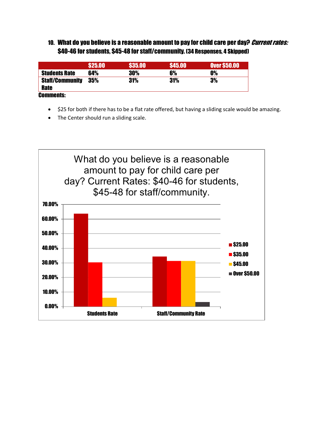### 10. What do you believe is a reasonable amount to pay for child care per day? Current rates: \$40-46 for students, \$45-48 for staff/community. (34 Responses, 4 Skipped)

|                        | \$25.00 | <b>\$35.00</b> | <b>S45.00</b> | <b>Over \$50.00</b> |
|------------------------|---------|----------------|---------------|---------------------|
| <b>Students Rate</b>   | 64%     | 30%            | 6%            | <b>0%</b>           |
| <b>Staff/Community</b> | 35%     | 31%            | 31%           | 3%                  |
| <b>Rate</b>            |         |                |               |                     |
| <b>Comments:</b>       |         |                |               |                     |

- \$25 for both if there has to be a flat rate offered, but having a sliding scale would be amazing.
- The Center should run a sliding scale.

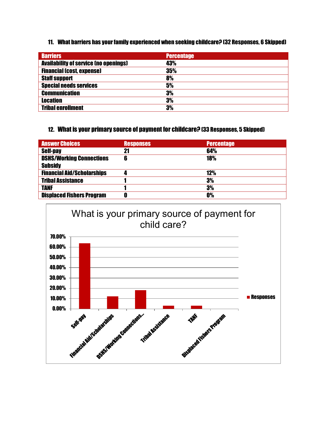#### 11. What barriers has your family experienced when seeking childcare? (32 Responses, 6 Skipped)

| <b>Barriers</b>                              | <b>Percentage</b> |
|----------------------------------------------|-------------------|
| <b>Availability of service (no openings)</b> | 43%               |
| <b>Financial (cost, expense)</b>             | 35%               |
| <b>Staff support</b>                         | 8%                |
| <b>Special needs services</b>                | 5%                |
| <b>Communication</b>                         | 3%                |
| <b>Location</b>                              | 3%                |
| <b>Tribal enrollment</b>                     | 3%                |

#### 12. What is your primary source of payment for childcare? (33 Responses, 5 Skipped)

| <b>Answer Choices</b>             | <b>Responses</b> | <b>Percentage</b> |
|-----------------------------------|------------------|-------------------|
| <b>Self-pay</b>                   | 21               | 64%               |
| <b>DSHS/Working Connections</b>   | 6                | <b>18%</b>        |
| <b>Subsidy</b>                    |                  |                   |
| <b>Financial Aid/Scholarships</b> |                  | 12%               |
| <b>Tribal Assistance</b>          |                  | 3%                |
| <b>TANF</b>                       |                  | 3%                |
| <b>Displaced Fishers Program</b>  | 0                | <b>0%</b>         |

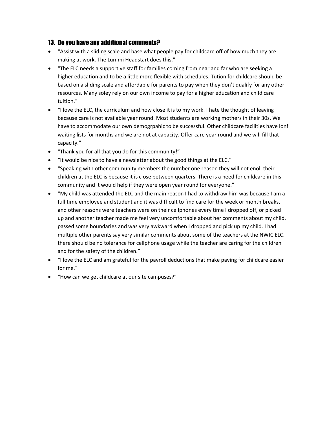#### 13. Do you have any additional comments?

- "Assist with a sliding scale and base what people pay for childcare off of how much they are making at work. The Lummi Headstart does this."
- "The ELC needs a supportive staff for families coming from near and far who are seeking a higher education and to be a little more flexible with schedules. Tution for childcare should be based on a sliding scale and affordable for parents to pay when they don't qualify for any other resources. Many soley rely on our own income to pay for a higher education and child care tuition."
- "I love the ELC, the curriculum and how close it is to my work. I hate the thought of leaving because care is not available year round. Most students are working mothers in their 30s. We have to accommodate our own demogrpahic to be successful. Other childcare facilities have lonf waiting lists for months and we are not at capacity. Offer care year round and we will fill that capacity."
- "Thank you for all that you do for this community!"
- "It would be nice to have a newsletter about the good things at the ELC."
- "Speaking with other community members the number one reason they will not enoll their children at the ELC is because it is close between quarters. There is a need for childcare in this community and it would help if they were open year round for everyone."
- "My child was attended the ELC and the main reason I had to withdraw him was because I am a full time employee and student and it was difficult to find care for the week or month breaks, and other reasons were teachers were on their cellphones every time I dropped off, or picked up and another teacher made me feel very uncomfortable about her comments about my child. passed some boundaries and was very awkward when I dropped and pick up my child. I had multiple other parents say very similar comments about some of the teachers at the NWIC ELC. there should be no tolerance for cellphone usage while the teacher are caring for the children and for the safety of the children."
- "I love the ELC and am grateful for the payroll deductions that make paying for childcare easier for me."
- "How can we get childcare at our site campuses?"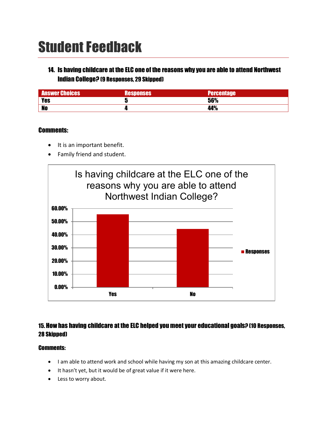# Student Feedback

## 14. Is having childcare at the ELC one of the reasons why you are able to attend Northwest Indian College? (9 Responses, 29 Skipped)

| <b>Answer Choices</b> | Responses | <b>Percentage</b> |
|-----------------------|-----------|-------------------|
| <b>Yes</b>            |           | 56%               |
| <b>No</b>             |           | 44%               |

#### Comments:

- It is an important benefit.
- Family friend and student.



### 15. How has having childcare at the ELC helped you meet your educational goals? (10 Responses, 28 Skipped)

#### Comments:

- I am able to attend work and school while having my son at this amazing childcare center.
- It hasn't yet, but it would be of great value if it were here.
- Less to worry about.